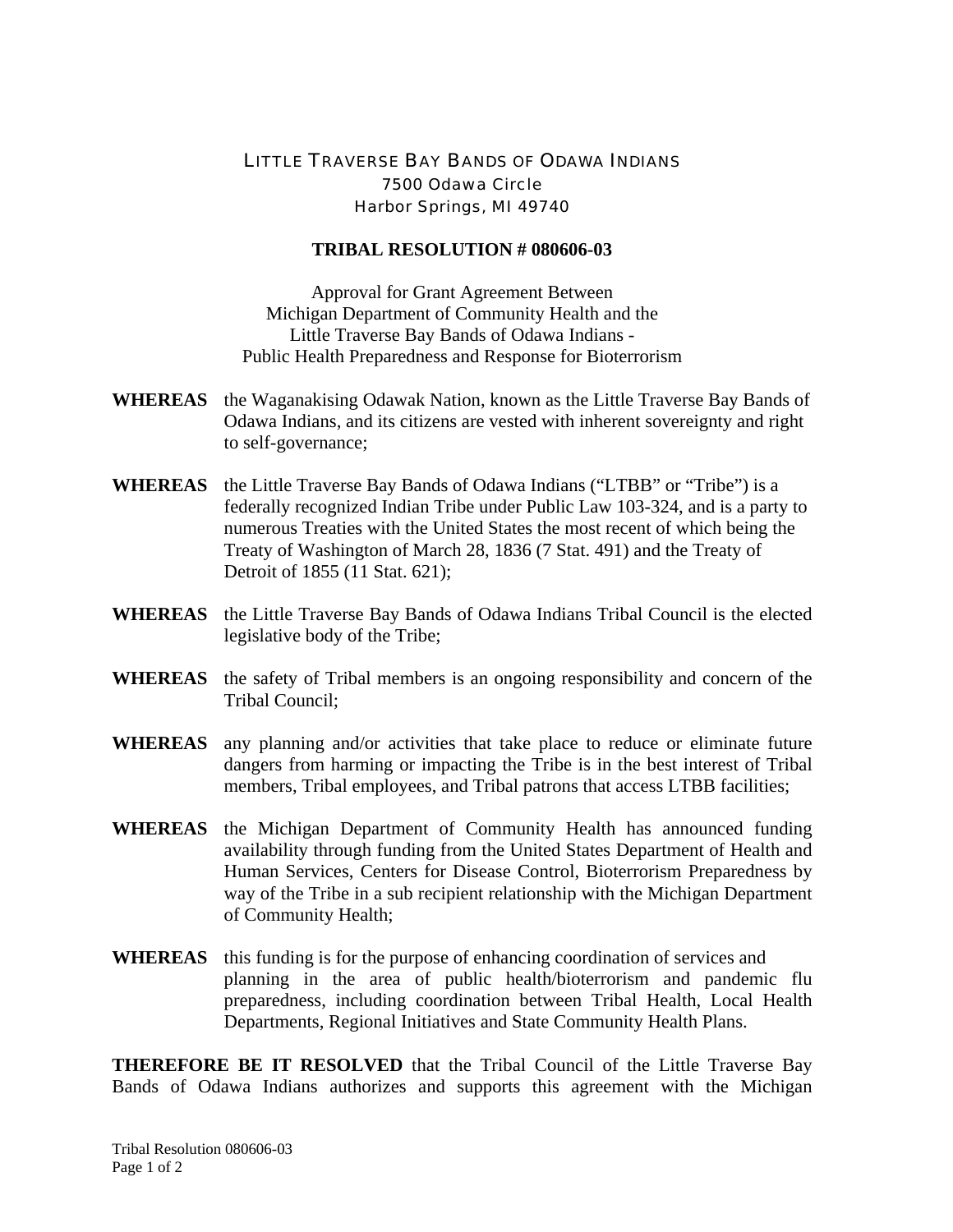## LITTLE TRAVERSE BAY BANDS OF ODAWA INDIANS 7500 Odawa Circle Harbor Springs, MI 49740

## **TRIBAL RESOLUTION # 080606-03**

Approval for Grant Agreement Between Michigan Department of Community Health and the Little Traverse Bay Bands of Odawa Indians - Public Health Preparedness and Response for Bioterrorism

- **WHEREAS** the Waganakising Odawak Nation, known as the Little Traverse Bay Bands of Odawa Indians, and its citizens are vested with inherent sovereignty and right to self-governance;
- **WHEREAS** the Little Traverse Bay Bands of Odawa Indians ("LTBB" or "Tribe") is a federally recognized Indian Tribe under Public Law 103-324, and is a party to numerous Treaties with the United States the most recent of which being the Treaty of Washington of March 28, 1836 (7 Stat. 491) and the Treaty of Detroit of 1855 (11 Stat. 621);
- **WHEREAS** the Little Traverse Bay Bands of Odawa Indians Tribal Council is the elected legislative body of the Tribe;
- **WHEREAS** the safety of Tribal members is an ongoing responsibility and concern of the Tribal Council;
- **WHEREAS** any planning and/or activities that take place to reduce or eliminate future dangers from harming or impacting the Tribe is in the best interest of Tribal members, Tribal employees, and Tribal patrons that access LTBB facilities;
- **WHEREAS** the Michigan Department of Community Health has announced funding availability through funding from the United States Department of Health and Human Services, Centers for Disease Control, Bioterrorism Preparedness by way of the Tribe in a sub recipient relationship with the Michigan Department of Community Health;
- **WHEREAS** this funding is for the purpose of enhancing coordination of services and planning in the area of public health/bioterrorism and pandemic flu preparedness, including coordination between Tribal Health, Local Health Departments, Regional Initiatives and State Community Health Plans.

**THEREFORE BE IT RESOLVED** that the Tribal Council of the Little Traverse Bay Bands of Odawa Indians authorizes and supports this agreement with the Michigan